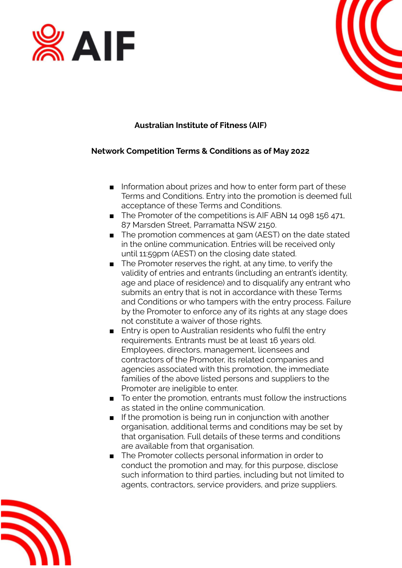



## **Australian Institute of Fitness (AIF)**

#### **Network Competition Terms & Conditions as of May 2022**

- Information about prizes and how to enter form part of these Terms and Conditions. Entry into the promotion is deemed full acceptance of these Terms and Conditions.
- The Promoter of the competitions is AIF ABN 14 098 156 471, 87 Marsden Street, Parramatta NSW 2150.
- The promotion commences at 9am (AEST) on the date stated in the online communication. Entries will be received only until 11:59pm (AEST) on the closing date stated.
- The Promoter reserves the right, at any time, to verify the validity of entries and entrants (including an entrant's identity, age and place of residence) and to disqualify any entrant who submits an entry that is not in accordance with these Terms and Conditions or who tampers with the entry process. Failure by the Promoter to enforce any of its rights at any stage does not constitute a waiver of those rights.
- Entry is open to Australian residents who fulfil the entry requirements. Entrants must be at least 16 years old. Employees, directors, management, licensees and contractors of the Promoter, its related companies and agencies associated with this promotion, the immediate families of the above listed persons and suppliers to the Promoter are ineligible to enter.
- To enter the promotion, entrants must follow the instructions as stated in the online communication.
- If the promotion is being run in conjunction with another organisation, additional terms and conditions may be set by that organisation. Full details of these terms and conditions are available from that organisation.
- The Promoter collects personal information in order to conduct the promotion and may, for this purpose, disclose such information to third parties, including but not limited to agents, contractors, service providers, and prize suppliers.

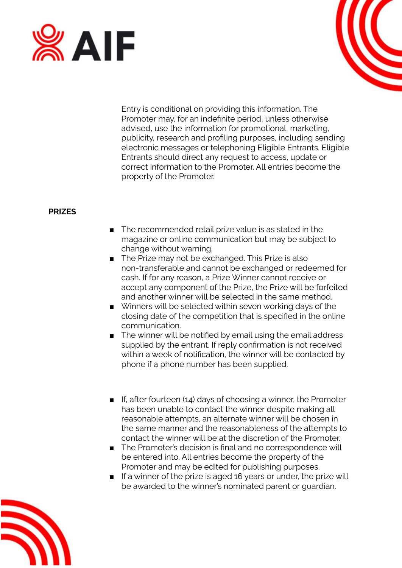



Entry is conditional on providing this information. The Promoter may, for an indefinite period, unless otherwise advised, use the information for promotional, marketing, publicity, research and profiling purposes, including sending electronic messages or telephoning Eligible Entrants. Eligible Entrants should direct any request to access, update or correct information to the Promoter. All entries become the property of the Promoter.

#### **PRIZES**

- The recommended retail prize value is as stated in the magazine or online communication but may be subject to change without warning.
- The Prize may not be exchanged. This Prize is also non-transferable and cannot be exchanged or redeemed for cash. If for any reason, a Prize Winner cannot receive or accept any component of the Prize, the Prize will be forfeited and another winner will be selected in the same method.
- Winners will be selected within seven working days of the closing date of the competition that is specified in the online communication.
- The winner will be notified by email using the email address supplied by the entrant. If reply confirmation is not received within a week of notification, the winner will be contacted by phone if a phone number has been supplied.
- If, after fourteen (14) days of choosing a winner, the Promoter has been unable to contact the winner despite making all reasonable attempts, an alternate winner will be chosen in the same manner and the reasonableness of the attempts to contact the winner will be at the discretion of the Promoter.
- The Promoter's decision is final and no correspondence will be entered into. All entries become the property of the Promoter and may be edited for publishing purposes.
- If a winner of the prize is aged 16 years or under, the prize will be awarded to the winner's nominated parent or guardian.

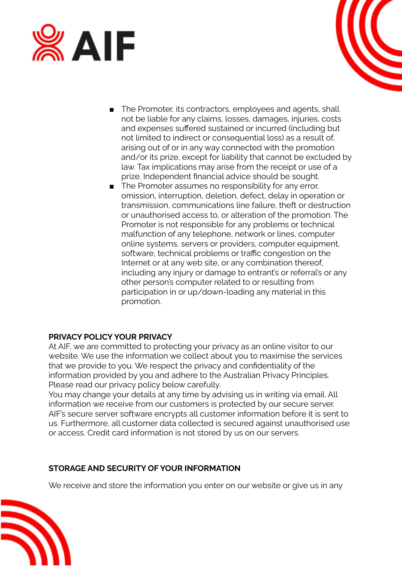



- The Promoter, its contractors, employees and agents, shall not be liable for any claims, losses, damages, injuries, costs and expenses suffered sustained or incurred (including but not limited to indirect or consequential loss) as a result of, arising out of or in any way connected with the promotion and/or its prize, except for liability that cannot be excluded by law. Tax implications may arise from the receipt or use of a prize. Independent financial advice should be sought.
- The Promoter assumes no responsibility for any error, omission, interruption, deletion, defect, delay in operation or transmission, communications line failure, theft or destruction or unauthorised access to, or alteration of the promotion. The Promoter is not responsible for any problems or technical malfunction of any telephone, network or lines, computer online systems, servers or providers, computer equipment, software, technical problems or traffic congestion on the Internet or at any web site, or any combination thereof, including any injury or damage to entrant's or referral's or any other person's computer related to or resulting from participation in or up/down-loading any material in this promotion.

# **PRIVACY POLICY YOUR PRIVACY**

At AIF, we are committed to protecting your privacy as an online visitor to our website. We use the information we collect about you to maximise the services that we provide to you. We respect the privacy and confidentiality of the information provided by you and adhere to the Australian Privacy Principles. Please read our privacy policy below carefully.

You may change your details at any time by advising us in writing via email. All information we receive from our customers is protected by our secure server. AIF's secure server software encrypts all customer information before it is sent to us. Furthermore, all customer data collected is secured against unauthorised use or access. Credit card information is not stored by us on our servers.

#### **STORAGE AND SECURITY OF YOUR INFORMATION**

We receive and store the information you enter on our website or give us in any

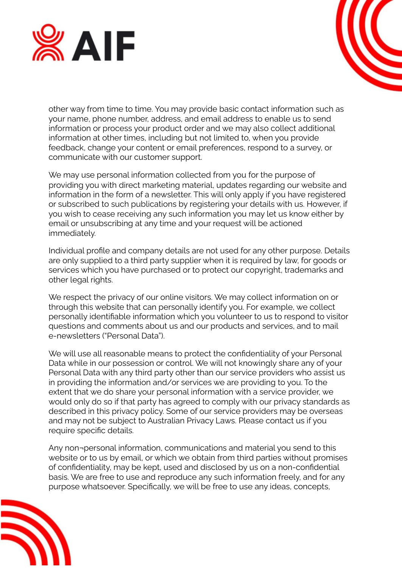



other way from time to time. You may provide basic contact information such as your name, phone number, address, and email address to enable us to send information or process your product order and we may also collect additional information at other times, including but not limited to, when you provide feedback, change your content or email preferences, respond to a survey, or communicate with our customer support.

We may use personal information collected from you for the purpose of providing you with direct marketing material, updates regarding our website and information in the form of a newsletter. This will only apply if you have registered or subscribed to such publications by registering your details with us. However, if you wish to cease receiving any such information you may let us know either by email or unsubscribing at any time and your request will be actioned immediately.

Individual profile and company details are not used for any other purpose. Details are only supplied to a third party supplier when it is required by law, for goods or services which you have purchased or to protect our copyright, trademarks and other legal rights.

We respect the privacy of our online visitors. We may collect information on or through this website that can personally identify you. For example, we collect personally identifiable information which you volunteer to us to respond to visitor questions and comments about us and our products and services, and to mail e-newsletters ("Personal Data").

We will use all reasonable means to protect the confidentiality of your Personal Data while in our possession or control. We will not knowingly share any of your Personal Data with any third party other than our service providers who assist us in providing the information and/or services we are providing to you. To the extent that we do share your personal information with a service provider, we would only do so if that party has agreed to comply with our privacy standards as described in this privacy policy. Some of our service providers may be overseas and may not be subject to Australian Privacy Laws. Please contact us if you require specific details.

Any non¬personal information, communications and material you send to this website or to us by email, or which we obtain from third parties without promises of confidentiality, may be kept, used and disclosed by us on a non-confidential basis. We are free to use and reproduce any such information freely, and for any purpose whatsoever. Specifically, we will be free to use any ideas, concepts,

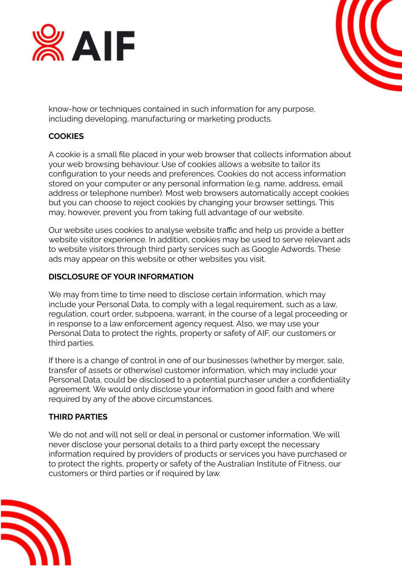



know-how or techniques contained in such information for any purpose, including developing, manufacturing or marketing products.

#### **COOKIES**

A cookie is a small file placed in your web browser that collects information about your web browsing behaviour. Use of cookies allows a website to tailor its configuration to your needs and preferences. Cookies do not access information stored on your computer or any personal information (e.g. name, address, email address or telephone number). Most web browsers automatically accept cookies but you can choose to reject cookies by changing your browser settings. This may, however, prevent you from taking full advantage of our website.

Our website uses cookies to analyse website traffic and help us provide a better website visitor experience. In addition, cookies may be used to serve relevant ads to website visitors through third party services such as Google Adwords. These ads may appear on this website or other websites you visit.

#### **DISCLOSURE OF YOUR INFORMATION**

We may from time to time need to disclose certain information, which may include your Personal Data, to comply with a legal requirement, such as a law, regulation, court order, subpoena, warrant, in the course of a legal proceeding or in response to a law enforcement agency request. Also, we may use your Personal Data to protect the rights, property or safety of AIF, our customers or third parties.

If there is a change of control in one of our businesses (whether by merger, sale, transfer of assets or otherwise) customer information, which may include your Personal Data, could be disclosed to a potential purchaser under a confidentiality agreement. We would only disclose your information in good faith and where required by any of the above circumstances.

#### **THIRD PARTIES**

We do not and will not sell or deal in personal or customer information. We will never disclose your personal details to a third party except the necessary information required by providers of products or services you have purchased or to protect the rights, property or safety of the Australian Institute of Fitness, our customers or third parties or if required by law.